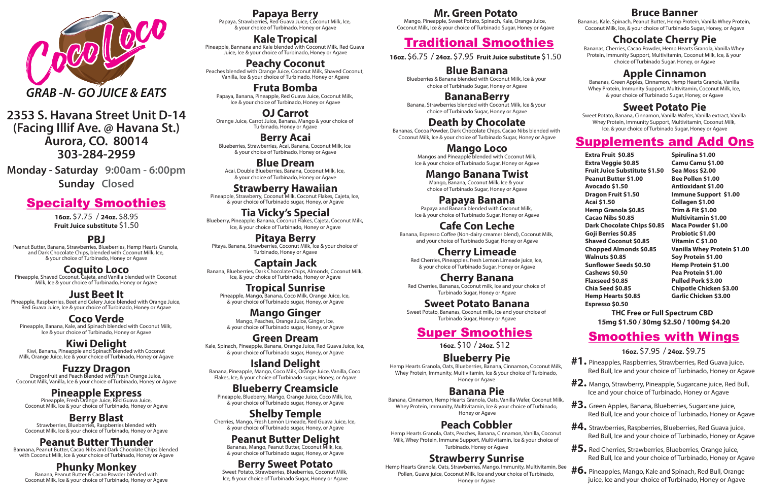& your choice of Turbinado, Honey or Agave

#### **Kale Tropical**

Pineapple, Bannana and Kale blended with Coconut Milk, Red Guava Juice, Ice & your choice of Turbinado, Honey or Agave

**Peachy Coconut**<br>**Peaches blended with Orange Juice, Coconut Milk, Shaved Coconut,** Vanilla, Ice & your choice of Turbinado, Honey or Agave

& your choice of Turbinado, Honey or Agave **Strawberry Hawaiian**<br>**Pineapple, Strawberry, Coconut Milk, Coconut Flakes, Cajeta, Ice,** 

**Fruta Bomba** Papaya, Banana, Pineapple, Red Guava Juice, Coconut Milk, Ice & your choice of Turbinado, Honey or Agave

## **OJ Carrot**

Orange Juice, Carrot Juice, Banana, Mango & your choice of Turbinado, Honey or Agave

# **Berry Acai** Blueberries, Strawberries, Acai, Banana, Coconut Milk, Ice

**Pitaya Berry** Pitaya, Banana, Strawberries, Coconut Milk, Ice & your choice of Turbinado, Honey or Agave

& your choice of Turbinado, Honey or Agave

#### **Blue Dream** Acai, Double Blueberries, Banana, Coconut Milk, Ice,

**Mango Ginger**<br>Mango, Peaches, Orange Juice, Ginger, Ice, & your choice of Turbinado sugar, Honey, or Agave

**Island Delight**<br>Banana, Pineapple, Mango, Coco Milk, Orange Juice, Vanilla, Coco Flakes, Ice, & your choice of Turbinado sugar, Honey, or Agave

# **Blueberry Creamsicle**<br>**Pineapple, Blueberry, Mango, Orange Juice, Coco Milk, Ice,**

& your choice of Turbinado sugar, Honey, or Agave

**Tia Vicky's Special** Blueberry, Pineapple, Banana, Coconut Flakes, Cajeta, Coconut Milk, Ice, & your choice of Turbinado, Honey or Agave

**Captain Jack** Banana, Blueberries, Dark Chocolate Chips, Almonds, Coconut Milk, Ice, & your choice of Turbinado, Honey or Agave

#### **Tropical Sunrise** Pineapple, Mango, Banana, Coco Milk, Orange Juice, Ice, & your choice of Turbinado sugar, Honey, or Agave

#### **Green Dream**

Kale, Spinach, Pineapple, Banana, Orange Juice, Red Guava Juice, Ice, & your choice of Turbinado sugar, Honey, or Agave

& your choice of Turbinado sugar, Honey, or Agave

# **Shelby Temple**<br>Cherries, Mango, Fresh Lemon Limeade, Red Guava Juice, Ice,

& your choice of Turbinado sugar, Honey, or Agave

## **Peanut Butter Delight**

Bananas, Mango, Peanut Butter, Coconut Milk, Ice, & your choice of Turbinado sugar, Honey, or Agave

# **Berry Sweet Potato**<br>Sweet Potato, Strawberries, Blueberries, Coconut Milk,

Ice, & your choice of Turbinado Sugar, Honey or Agave

Papaya and Banana blended with Coconut Milk, Ice & your choice of Turbinado Sugar, Honey or Agave

## Supplements and Add Ons

## Smoothies with Wings

Banana, Espresso Coffee (Non-dairy creamer blend), Coconut Milk, and your choice of Turbinado Sugar, Honey or Agave

**16oz.** \$7.95 / **24oz.** \$9.75

## Super Smoothies

**16oz.** \$10 / **24oz.** \$12

## **Blueberry Pie**

Hemp Hearts Granola, Oats, Blueberries, Banana, Cinnamon, Coconut Milk, Whey Protein, Immunity, Multivitamin, Ice & your choice of Turbinado, Honey or Agave

## **Banana Pie**

Banana, Cinnamon, Hemp Hearts Granola, Oats, Vanilla Wafer, Coconut Milk, Whey Protein, Immunity, Multivitamin, Ice & your choice of Turbinado, Honey or Agave

## **Peach Cobbler**

Hemp Hearts Granola, Oats, Peaches, Banana, Cinnamon, Vanilla, Coconut Milk, Whey Protein, Immune Support, Multivitamin, Ice & your choice of Turbinado, Honey or Agave

## **Strawberry Sunrise**

Hemp Hearts Granola, Oats, Strawberries, Mango, Immunity, Multivitamin, Bee Pollen, Guava juice, Coconut Milk, Ice and your choice of Turbinado, Honey or Agave

- **#1.** Pineapples, Raspberries, Strawberries, Red Guava juice, Red Bull, Ice and your choice of Turbinado, Honey or Agave
- **#2.** Mango, Strawberry, Pineapple, Sugarcane juice, Red Bull, Ice and your choice of Turbinado, Honey or Agave
- **#3.** Green Apples, Banana, Blueberries, Sugarcane juice, Red Bull, Ice and your choice of Turbinado, Honey or Agave
- **#4.** Strawberries, Raspberries, Blueberries, Red Guava juice, Red Bull, Ice and your choice of Turbinado, Honey or Agave
- **#5.** Red Cherries, Strawberries, Blueberries, Orange juice, Red Bull, Ice and your choice of Turbinado, Honey or Agave
- **#6.** Pineapples, Mango, Kale and Spinach, Red Bull, Orange juice, Ice and your choice of Turbinado, Honey or Agave

**Coquito Loco**<br>**Pineapple, Shaved Coconut, Cajeta, and Vanilla blended with Coconut** Milk, Ice & your choice of Turbinado, Honey or Agave

# Traditional Smoothies

**Kiwi Delight**<br>Kiwi, Banana, Pineapple and Spinach blended with Coconut Milk, Orange Juice, Ice & your choice of Turbinado, Honey or Agave

**16oz.** \$6.75 / **24oz.** \$7.95 **Fruit Juice substitute** \$1.50

## **Blue Banana**

**Fuzzy Dragon**<br>Dragonfruit and Peach blended with Fresh Orange Juice, Coconut Milk, Vanilla, Ice & your choice of Turbinado, Honey or Agave Blueberries & Banana blended with Coconut Milk, Ice & your choice of Turbinado Sugar, Honey or Agave

## **BananaBerry**

**Berry Blast**<br>Strawberries, Blueberries, Raspberries blended with Coconut Milk, Ice & your choice of Turbinado, Honey or Agave Banana, Strawberries blended with Coconut Milk, Ice & your choice of Turbinado Sugar, Honey or Agave

## **Death by Chocolate**

Bananas, Cocoa Powder, Dark Chocolate Chips, Cacao Nibs blended with Coconut Milk, Ice & your choice of Turbinado Sugar, Honey or Agave

#### **Mango Loco**

Mangos and Pineapple blended with Coconut Milk, Ice & your choice of Turbinado Sugar, Honey or Agave

#### **Mango Banana Twist**

Mango, Banana, Coconut Milk, Ice & your choice of Turbinado Sugar, Honey or Agave

#### **Papaya Banana**

## **Cafe Con Leche**

## **Cherry Limeade**

Red Cherries, Pineapples, fresh Lemon Limeade juice, Ice, & your choice of Turbinado Sugar, Honey or Agave

#### **Cherry Banana**

Red Cherries, Bananas, Coconut milk, Ice and your choice of Turbinado Sugar, Honey or Agave

#### **Sweet Potato Banana**

Sweet Potato, Bananas, Coconut milk, Ice and your choice of Turbinado Sugar, Honey or Agave

#### **Mr. Green Potato**

Mango, Pineapple, Sweet Potato, Spinach, Kale, Orange Juice, Coconut Milk, Ice & your choice of Turbinado Sugar, Honey or Agave

#### **Bruce Banner**

Bananas, Kale, Spinach, Peanut Butter, Hemp Protein, Vanilla Whey Protein, Coconut Milk, Ice, & your choice of Turbinado Sugar, Honey, or Agave

#### **Chocolate Cherry Pie**

Bananas, Cherries, Cacao Powder, Hemp Hearts Granola, Vanilla Whey Protein, Immunity Support, Multivitamin, Coconut Milk, Ice, & your choice of Turbinado Sugar, Honey, or Agave

## **Apple Cinnamon**

Bananas, Green Apples, Cinnamon, Hemp Hearts Granola, Vanilla Whey Protein, Immunity Support, Multivitamin, Coconut Milk, Ice, & your choice of Turbinado Sugar, Honey, or Agave

#### **Sweet Potato Pie**

Sweet Potato, Banana, Cinnamon, Vanilla Wafers, Vanilla extract, Vanilla Whey Protein, Immunity Support, Multivitamin, Coconut Milk, Ice, & your choice of Turbinado Sugar, Honey or Agave

**Extra Fruit \$0.85 Extra Veggie \$0.85 Fruit Juice Substitute \$1.50 Peanut Butter \$1.00 Avocado \$1.50 Dragon Fruit \$1.50 Acai \$1.50 Hemp Granola \$0.85 Cacao Nibs \$0.85 Dark Chocolate Chips \$0.85 Goji Berries \$0.85 Shaved Coconut \$0.85 Chopped Almonds \$0.85 Walnuts \$0.85 Sun!ower Seeds \$0.50 Cashews \$0.50 Flaxseed \$0.85 Chia Seed \$0.85 Hemp Hearts \$0.85 Espresso \$0.50**

**Spirulina \$1.00 Camu Camu \$1.00 Sea Moss \$2.00 Bee Pollen \$1.00 Antioxidant \$1.00 Immune Support \$1.00 Collagen \$1.00 Trim & Fit \$1.00 Multivitamin \$1.00 Maca Powder \$1.00 Probiotic \$1.00 Vitamin C \$1.00 Vanilla Whey Protein \$1.00 Soy Protein \$1.00 Hemp Protein \$1.00 Pea Protein \$1.00 Pulled Pork \$3.00 Chipotle Chicken \$3.00 Garlic Chicken \$3.00**

**THC Free or Full Spectrum CBD 15mg \$1.50 / 30mg \$2.50 / 100mg \$4.20**

**Fruit Juice substitute** \$1.50 **16oz.** \$7.75 / **24oz.** \$8.95

**2353 S. Havana Street Unit D-14 (Facing Illif Ave. @ Havana St.) Aurora, CO. 80014 303-284-2959**



**Monday - Saturday 9:00am - 6:00pm Sunday Closed**

# **Specialty Smoothies**

#### **PBJ**

Peanut Butter, Banana, Strawberries, Blueberries, Hemp Hearts Granola, and Dark Chocolate Chips, blended with Coconut Milk, Ice, & your choice of Turbinado, Honey or Agave

## **Just Beet It**

Pineapple, Raspberries, Beet and Celery Juice blended with Orange Juice, Red Guava Juice, Ice & your choice of Turbinado, Honey or Agave

#### **Coco Verde**

Pineapple, Banana, Kale, and Spinach blended with Coconut Milk, Ice & your choice of Turbinado, Honey or Agave

# **Pineapple Express** Pineapple, Fresh Orange Juice, Red Guava Juice,

Coconut Milk, Ice & your choice of Turbinado, Honey or Agave

#### **Peanut Butter Thunder**

Bannana, Peanut Butter, Cacao Nibs and Dark Chocolate Chips blended with Coconut Milk, Ice & your choice of Turbinado, Honey or Agave

# **Phunky Monkey**<br>Banana, Peanut Butter & Cacao Powder blended with

Coconut Milk, Ice & your choice of Turbinado, Honey or Agave

**Papaya Berry**<br>Papaya, Strawberries, Red Guava Juice, Coconut Milk, Ice,